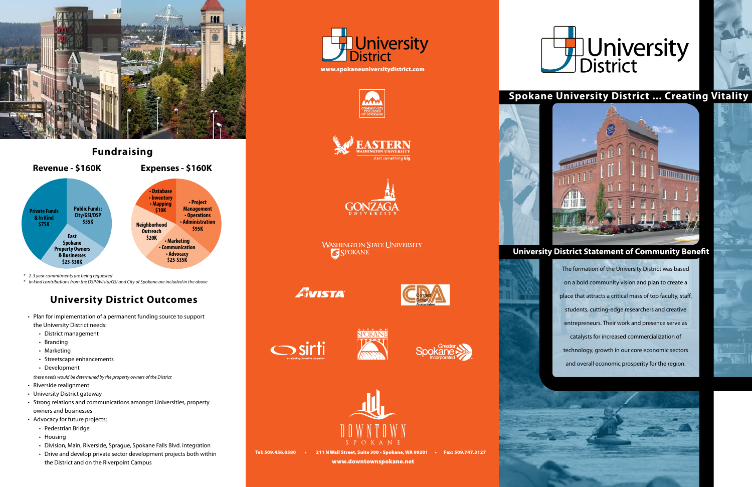*these needs would be determined by the property owners of the District*

- • Riverside realignment
- University District gateway
- Strong relations and communications amongst Universities, property owners and businesses
- • Advocacy for future projects:
	- • Pedestrian Bridge
	- Housing
	- Division, Main, Riverside, Sprague, Spokane Falls Blvd. integration
	- Drive and develop private sector development projects both within the District and on the Riverpoint Campus

The formation of the University District was based on a bold community vision and plan to create a place that attracts a critical mass of top faculty, staff, students, cutting-edge researchers and creative entrepreneurs. Their work and presence serve as catalysts for increased commercialization of technology, growth in our core economic sectors and overall economic prosperity for the region.

 $\mathbb{C}^1$ sl





# **Spokane University District ... Creating Vitality**

## **University District Statement of Community Benefit**

*\* 2-3 year commitments are being requested*

*\* In kind contributions from the DSP/Avista/GSI and City of Spokane are included in the above*

# **University District Outcomes**

- Plan for implementation of a permanent funding source to support the University District needs:
	- • District management
	- Branding
	- • Marketing
	- Streetscape enhancements
	- Development









**WASHINGTON STATE UNIVERSITY AC SPOKANE** 

Aivista







Tel: 509.456.0580 • 211 N Wall Street, Suite 300 • Spokane, WA 99201 • Fax: 509.747.3127 www.downtownspokane.net





# University<br>District